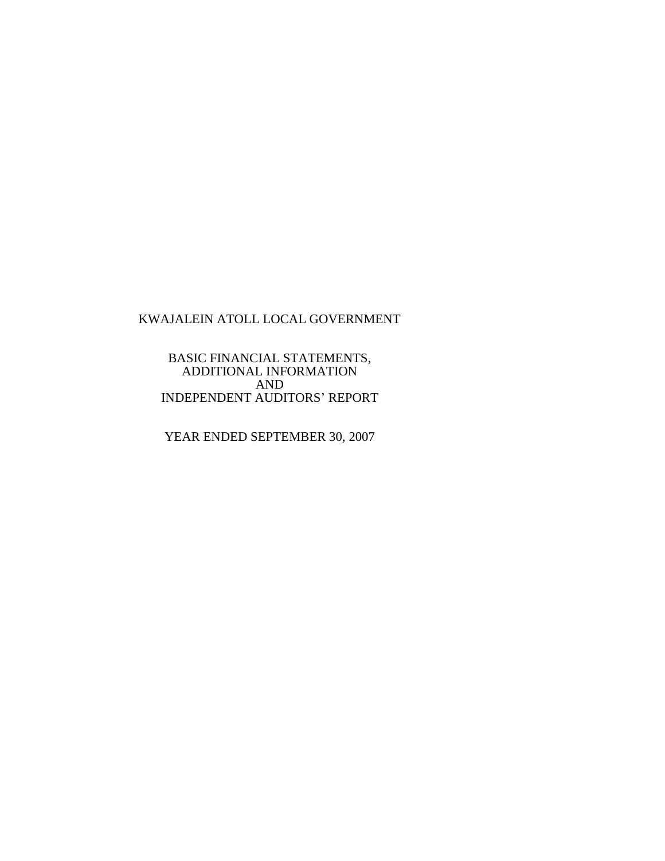BASIC FINANCIAL STATEMENTS, ADDITIONAL INFORMATION AND INDEPENDENT AUDITORS' REPORT

YEAR ENDED SEPTEMBER 30, 2007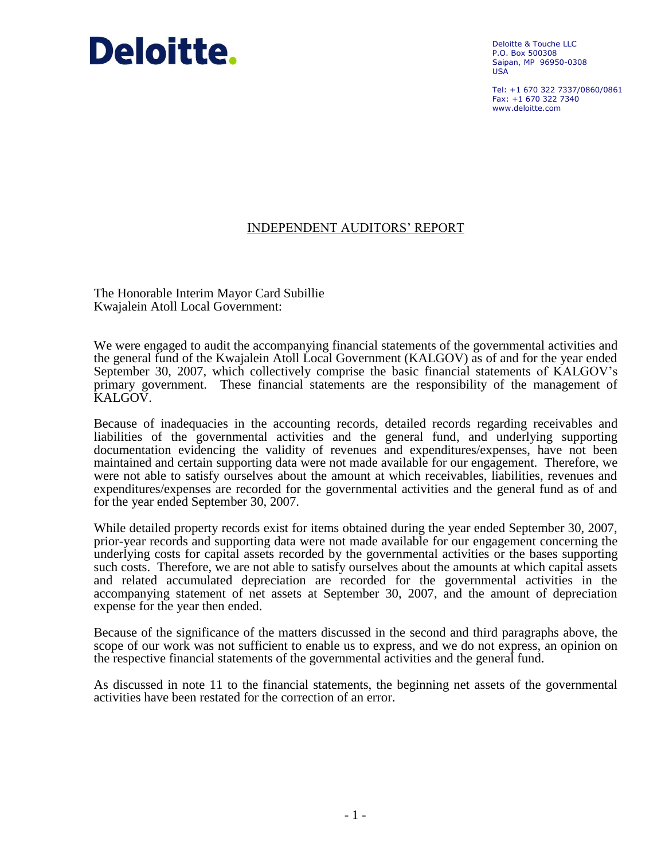# Deloitte.

Deloitte & Touche LLC P.O. Box 500308 Saipan, MP 96950-0308 USA

Tel: +1 670 322 7337/0860/0861  $Fay: +1 670 322 7340$ www.deloitte.com

## INDEPENDENT AUDITORS' REPORT

The Honorable Interim Mayor Card Subillie Kwajalein Atoll Local Government:

We were engaged to audit the accompanying financial statements of the governmental activities and the general fund of the Kwajalein Atoll Local Government (KALGOV) as of and for the year ended September 30, 2007, which collectively comprise the basic financial statements of KALGOV's primary government. These financial statements are the responsibility of the management of KALGOV.

Because of inadequacies in the accounting records, detailed records regarding receivables and liabilities of the governmental activities and the general fund, and underlying supporting documentation evidencing the validity of revenues and expenditures/expenses, have not been maintained and certain supporting data were not made available for our engagement. Therefore, we were not able to satisfy ourselves about the amount at which receivables, liabilities, revenues and expenditures/expenses are recorded for the governmental activities and the general fund as of and for the year ended September 30, 2007.

While detailed property records exist for items obtained during the year ended September 30, 2007, prior-year records and supporting data were not made available for our engagement concerning the underlying costs for capital assets recorded by the governmental activities or the bases supporting such costs. Therefore, we are not able to satisfy ourselves about the amounts at which capital assets and related accumulated depreciation are recorded for the governmental activities in the accompanying statement of net assets at September 30, 2007, and the amount of depreciation expense for the year then ended.

Because of the significance of the matters discussed in the second and third paragraphs above, the scope of our work was not sufficient to enable us to express, and we do not express, an opinion on the respective financial statements of the governmental activities and the general fund.

As discussed in note 11 to the financial statements, the beginning net assets of the governmental activities have been restated for the correction of an error.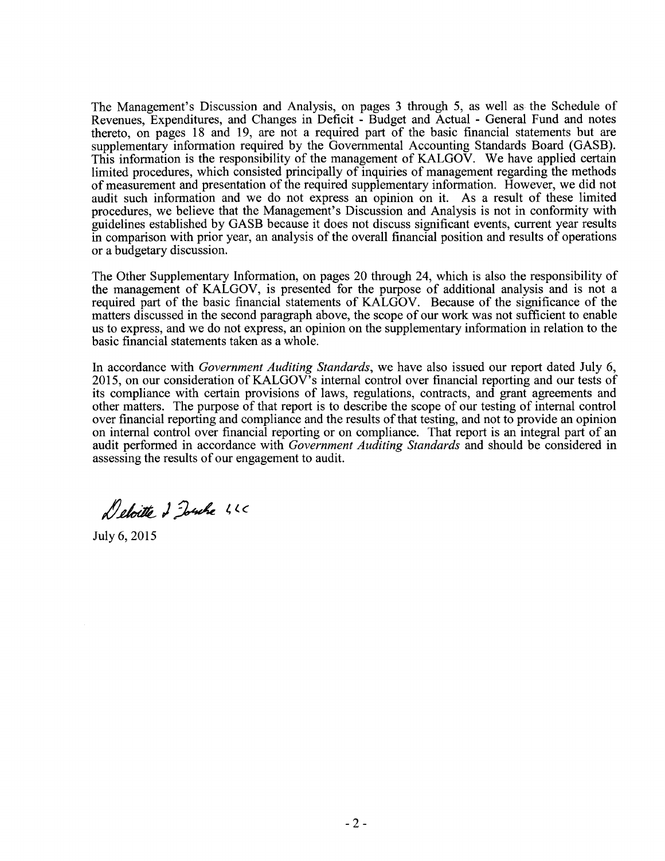The Management's Discussion and Analysis, on pages 3 through 5, as well as the Schedule of Revenues, Expenditures, and Changes in Deficit - Budget and Actual - General Fund and notes thereto, on pages 18 and 19, are not a required part of the basic financial statements but are supplementary information required by the Governmental Accounting Standards Board (GASB). This information is the responsibility of the management of  $KALGO\bar{V}$ . We have applied certain limited procedures, which consisted principally of inquiries of management regarding the methods of measurement and presentation of the required supplementary information. However, we did not audit such information and we do not express an opinion on it. As a result of these limited procedures, we believe that the Management's Discussion and Analysis is not in conformity with guidelines established by GASB because it does not discuss significant events, current year results in comparison with prior year, an analysis of the overall financial position and results of operations or a budgetary discussion.

The Other Supplementary Information, on pages 20 through 24, which is also the responsibility of the management of KALGOV, is presented for the purpose of additional analysis and is not a required part of the basic financial statements of KALGOV. Because of the significance of the matters discussed in the second paragraph above, the scope of our work was not sufficient to enable us to express, and we do not express, an opinion on the supplementary information in relation to the basic financial statements taken as a whole.

In accordance with *Government Auditing Standards,* we have also issued our report dated July 6, 2015, on our consideration of KALGOV's internal control over financial reporting and our tests of its compliance with certain provisions of laws, regulations, contracts, and grant agreements and other matters. The purpose of that report is to describe the scope of our testing of internal control over financial reporting and compliance and the results of that testing, and not to provide an opinion on internal control over financial reporting or on compliance. That report is an integral part of an audit performed in accordance with *Government Auditing Standards* and should be considered in assessing the results of our engagement to audit.

Deloitte 2 Touche 46

July 6,2015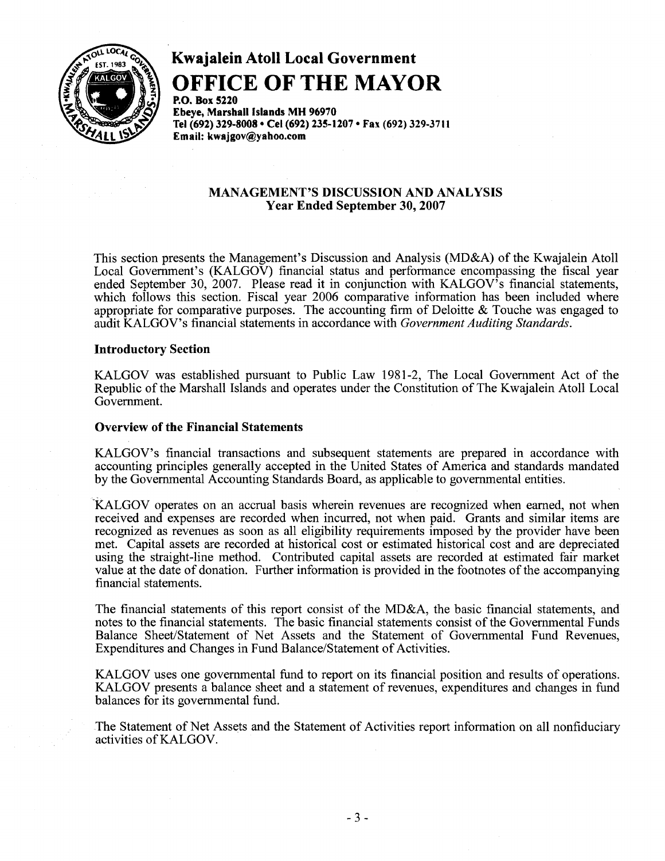

## Kwajalein Atoll Local Government

## **OFFICE OF THE MAYOR**

P.o. Box 5220 Ebeye, Marshall Islands MH 96970 Tel (692) 329-8008 • Cel (692) 235-1207 • Fax (692) 329-3711 Email: kwajgov@yahoo.com

## MANAGEMENT'S DISCUSSION AND ANALYSIS Year Ended September 30, 2007

This section presents the Management's Discussion and Analysis (MD&A) of the Kwajalein Atoll Local Government's (KALGOV) financial status and performance encompassing the fiscal year ended September 30, 2007. Please read it in conjunction with KALGOV's financial statements, which follows this section. Fiscal year 2006 comparative information has been included where appropriate for comparative purposes. The accounting firm of Deloitte & Touche was engaged to audit KALGOV's financial statements in accordance with *Government Auditing Standards.* 

## Introductory Section

KALGOV was established pursuant to Public Law 1981-2, The Local Government Act of the Republic of the Marshall Islands and operates under the Constitution of The Kwajalein Atoll Local Government.

## Overview of the Financial Statements

KALGOV's financial transactions and subsequent statements are prepared in accordance with accounting principles generally accepted in the United States of America and standards mandated by the Governmental Accounting Standards Board, as applicable to governmental entities.

'KALGOV operates on an accrual basis wherein revenues are recognized when earned, not when received and expenses are recorded when incurred, not when paid. Grants and similar items are recognized as revenues as soon as all eligibility requirements imposed by the provider have been met. Capital assets are recorded at historical cost or estimated historical cost and are depreciated using the straight-line method. Contributed capital assets are recorded at estimated fair market value at the date of donation. Further information is provided in the footnotes of the accompanying financial statements.

The financial statements of this report consist of the MD&A, the basic financial statements, and notes to the financial statements. The basic financial statements consist of the Governmental Funds Balance Sheet/Statement of Net Assets and the Statement of Governmental Fund Revenues, Expenditures and Changes in Fund Balance/Statement of Activities.

KALGOV uses one governmental fund to report on its financial position and results of operations. KALGOV presents a balance sheet and a statement of revenues, expenditures and changes in fund balances for its governmental fund.

The Statement of Net Assets and the Statement of Activities report information on all nonfiduciary activities of KALGOV.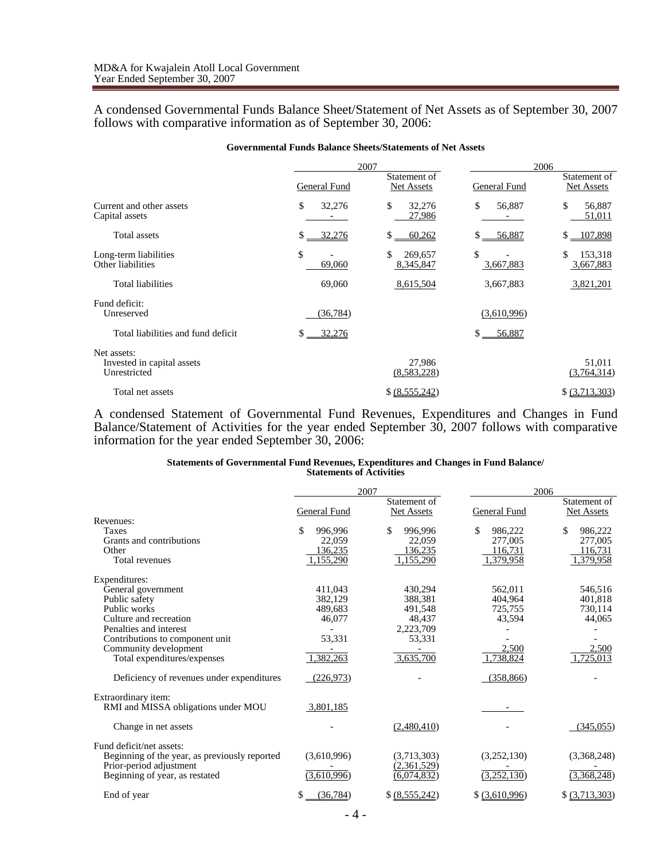A condensed Governmental Funds Balance Sheet/Statement of Net Assets as of September 30, 2007 follows with comparative information as of September 30, 2006:

|                                                           |              | 2007                       |                 | 2006                       |
|-----------------------------------------------------------|--------------|----------------------------|-----------------|----------------------------|
|                                                           | General Fund | Statement of<br>Net Assets | General Fund    | Statement of<br>Net Assets |
| Current and other assets<br>Capital assets                | \$<br>32,276 | \$<br>32,276<br>27,986     | \$<br>56,887    | \$<br>56,887<br>51,011     |
| Total assets                                              | 32,276<br>S. | \$<br>60,262               | 56,887<br>S     | $$ -107,898$               |
| Long-term liabilities<br>Other liabilities                | \$<br>69,060 | \$<br>269,657<br>8,345,847 | \$<br>3,667,883 | \$<br>153,318<br>3,667,883 |
| Total liabilities                                         | 69,060       | 8,615,504                  | 3,667,883       | 3,821,201                  |
| Fund deficit:<br>Unreserved                               | (36, 784)    |                            | (3,610,996)     |                            |
| Total liabilities and fund deficit                        | \$<br>32,276 |                            | \$<br>56,887    |                            |
| Net assets:<br>Invested in capital assets<br>Unrestricted |              | 27,986<br>(8,583,228)      |                 | 51.011<br>(3,764,314)      |
| Total net assets                                          |              | \$ (8,555,242)             |                 | \$ (3,713,303)             |

A condensed Statement of Governmental Fund Revenues, Expenditures and Changes in Fund Balance/Statement of Activities for the year ended September 30, 2007 follows with comparative information for the year ended September 30, 2006:

#### **Statements of Governmental Fund Revenues, Expenditures and Changes in Fund Balance/ Statements of Activities**

|                                               |                | 2007                              | 2006           |                                   |
|-----------------------------------------------|----------------|-----------------------------------|----------------|-----------------------------------|
|                                               | General Fund   | Statement of<br><b>Net Assets</b> | General Fund   | Statement of<br><b>Net Assets</b> |
| Revenues:                                     |                |                                   |                |                                   |
| <b>Taxes</b>                                  | 996,996        | \$<br>996,996                     | \$<br>986,222  | \$<br>986,222                     |
| Grants and contributions                      | 22,059         | 22,059                            | 277,005        | 277,005                           |
| Other                                         | 136,235        | 136,235                           | 116,731        | 116,731                           |
| Total revenues                                | 1,155,290      | 1,155,290                         | 1,379,958      | 1,379,958                         |
| Expenditures:                                 |                |                                   |                |                                   |
| General government                            | 411.043        | 430.294                           | 562.011        | 546.516                           |
| Public safety                                 | 382,129        | 388,381                           | 404.964        | 401,818                           |
| Public works                                  | 489.683        | 491,548                           | 725,755        | 730,114                           |
| Culture and recreation                        | 46,077         | 48.437                            | 43,594         | 44,065                            |
| Penalties and interest                        |                | 2,223,709                         |                |                                   |
| Contributions to component unit               | 53,331         | 53,331                            |                |                                   |
| Community development                         |                |                                   | 2.500          | 2,500                             |
| Total expenditures/expenses                   | 1,382,263      | 3,635,700                         | 1,738,824      | 1.725.013                         |
| Deficiency of revenues under expenditures     | (226, 973)     |                                   | (358, 866)     |                                   |
| Extraordinary item:                           |                |                                   |                |                                   |
| RMI and MISSA obligations under MOU           | 3,801,185      |                                   |                |                                   |
| Change in net assets                          |                | (2,480,410)                       |                | (345,055)                         |
| Fund deficit/net assets:                      |                |                                   |                |                                   |
| Beginning of the year, as previously reported | (3,610,996)    | (3,713,303)                       | (3,252,130)    | (3,368,248)                       |
| Prior-period adjustment                       |                | (2,361,529)                       |                |                                   |
| Beginning of year, as restated                | (3,610,996)    | (6,074,832)                       | (3,252,130)    | (3,368,248)                       |
| End of year                                   | S<br>(36, 784) | \$ (8,555,242)                    | \$ (3,610,996) | \$ (3,713,303)                    |
|                                               |                |                                   |                |                                   |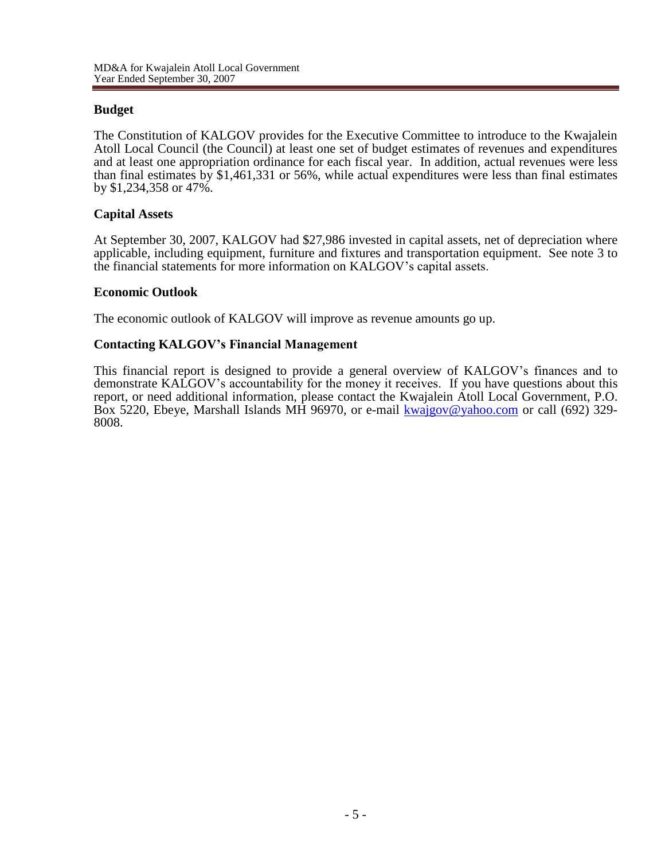## **Budget**

The Constitution of KALGOV provides for the Executive Committee to introduce to the Kwajalein Atoll Local Council (the Council) at least one set of budget estimates of revenues and expenditures and at least one appropriation ordinance for each fiscal year. In addition, actual revenues were less than final estimates by \$1,461,331 or 56%, while actual expenditures were less than final estimates by \$1,234,358 or 47%.

## **Capital Assets**

At September 30, 2007, KALGOV had \$27,986 invested in capital assets, net of depreciation where applicable, including equipment, furniture and fixtures and transportation equipment. See note 3 to the financial statements for more information on KALGOV's capital assets.

## **Economic Outlook**

The economic outlook of KALGOV will improve as revenue amounts go up.

## **Contacting KALGOV's Financial Management**

This financial report is designed to provide a general overview of KALGOV's finances and to demonstrate KALGOV's accountability for the money it receives. If you have questions about this report, or need additional information, please contact the Kwajalein Atoll Local Government, P.O. Box 5220, Ebeye, Marshall Islands MH 96970, or e-mail [kwajgov@yahoo.com](mailto:kwajgov@yahoo.com) or call (692) 329-8008.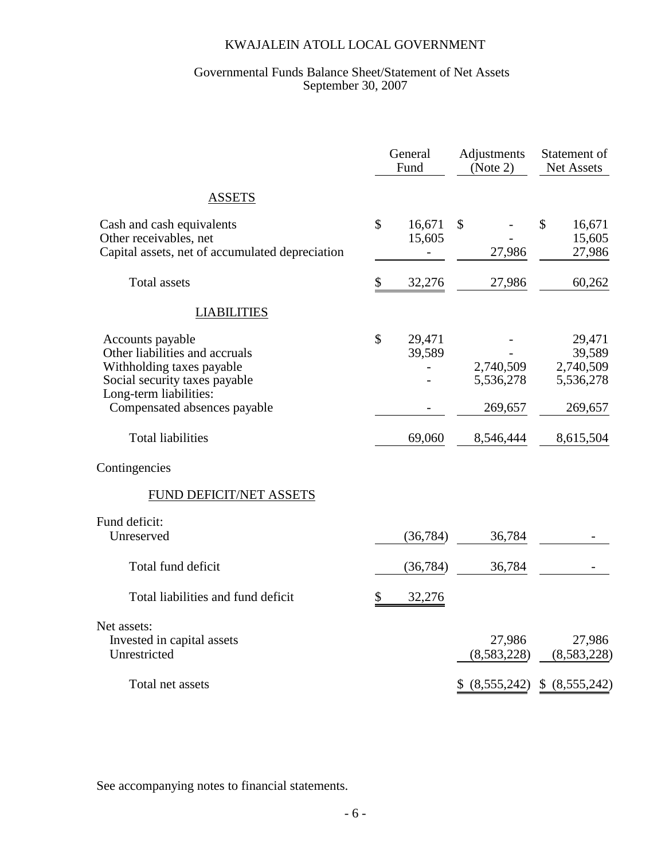## Governmental Funds Balance Sheet/Statement of Net Assets September 30, 2007

|                                                                                                                                                                            |               | General<br>Fund  | Adjustments<br>(Note 2)           | Statement of<br>Net Assets                            |
|----------------------------------------------------------------------------------------------------------------------------------------------------------------------------|---------------|------------------|-----------------------------------|-------------------------------------------------------|
| <b>ASSETS</b>                                                                                                                                                              |               |                  |                                   |                                                       |
| Cash and cash equivalents<br>Other receivables, net<br>Capital assets, net of accumulated depreciation                                                                     | $\mathcal{S}$ | 16,671<br>15,605 | $\mathcal{S}$<br>27,986           | $\mathbb{S}$<br>16,671<br>15,605<br>27,986            |
| <b>Total assets</b>                                                                                                                                                        | \$            | 32,276           | 27,986                            | 60,262                                                |
| <b>LIABILITIES</b>                                                                                                                                                         |               |                  |                                   |                                                       |
| Accounts payable<br>Other liabilities and accruals<br>Withholding taxes payable<br>Social security taxes payable<br>Long-term liabilities:<br>Compensated absences payable | \$            | 29,471<br>39,589 | 2,740,509<br>5,536,278<br>269,657 | 29,471<br>39,589<br>2,740,509<br>5,536,278<br>269,657 |
| <b>Total liabilities</b>                                                                                                                                                   |               | 69,060           | 8,546,444                         | 8,615,504                                             |
| Contingencies                                                                                                                                                              |               |                  |                                   |                                                       |
| <b>FUND DEFICIT/NET ASSETS</b>                                                                                                                                             |               |                  |                                   |                                                       |
| Fund deficit:<br>Unreserved                                                                                                                                                |               | (36, 784)        | 36,784                            |                                                       |
| Total fund deficit                                                                                                                                                         |               | (36, 784)        | 36,784                            |                                                       |
| Total liabilities and fund deficit                                                                                                                                         | \$            | 32,276           |                                   |                                                       |
| Net assets:<br>Invested in capital assets<br>Unrestricted                                                                                                                  |               |                  | 27,986<br>(8,583,228)             | 27,986<br>(8,583,228)                                 |
| Total net assets                                                                                                                                                           |               |                  | (8,555,242)                       | (8,555,242)<br>\$                                     |

See accompanying notes to financial statements.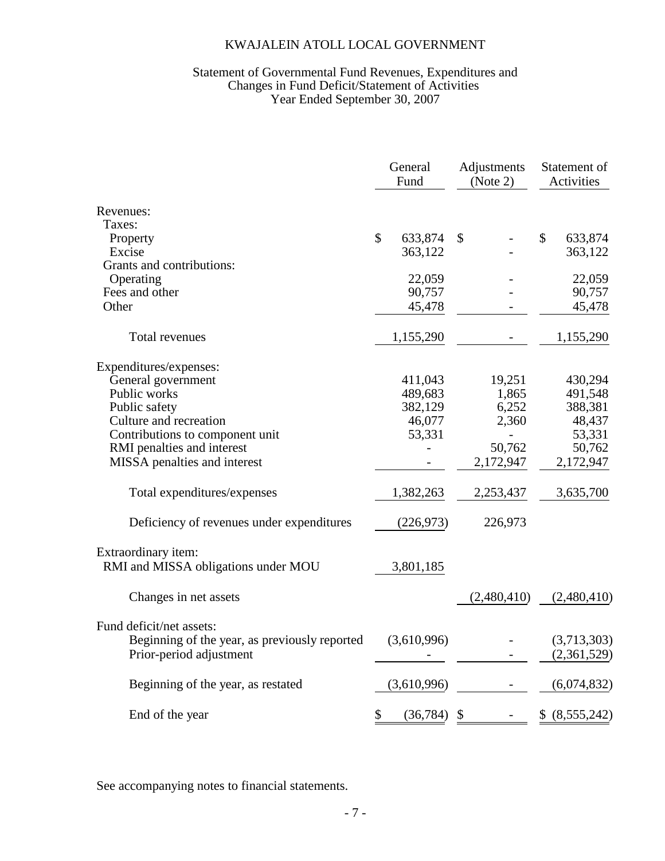## Statement of Governmental Fund Revenues, Expenditures and Changes in Fund Deficit/Statement of Activities Year Ended September 30, 2007

|                                                            | General<br>Fund |             | Adjustments<br>(Note 2) |             | Statement of<br>Activities |                |
|------------------------------------------------------------|-----------------|-------------|-------------------------|-------------|----------------------------|----------------|
| Revenues:                                                  |                 |             |                         |             |                            |                |
| Taxes:                                                     |                 |             |                         |             |                            |                |
| Property<br>Excise                                         | \$              | 633,874     | \$                      |             | \$                         | 633,874        |
| Grants and contributions:                                  |                 | 363,122     |                         |             |                            | 363,122        |
| Operating                                                  |                 | 22,059      |                         |             |                            | 22,059         |
| Fees and other                                             |                 | 90,757      |                         |             |                            | 90,757         |
| Other                                                      |                 | 45,478      |                         |             |                            | 45,478         |
|                                                            |                 |             |                         |             |                            |                |
| Total revenues                                             |                 | 1,155,290   |                         |             |                            | 1,155,290      |
| Expenditures/expenses:                                     |                 |             |                         |             |                            |                |
| General government                                         |                 | 411,043     |                         | 19,251      |                            | 430,294        |
| Public works                                               |                 | 489,683     |                         | 1,865       |                            | 491,548        |
| Public safety                                              |                 | 382,129     |                         | 6,252       |                            | 388,381        |
| Culture and recreation                                     |                 | 46,077      |                         | 2,360       |                            | 48,437         |
| Contributions to component unit                            |                 | 53,331      |                         |             |                            | 53,331         |
| RMI penalties and interest                                 |                 |             |                         | 50,762      |                            | 50,762         |
| MISSA penalties and interest                               |                 |             |                         | 2,172,947   |                            | 2,172,947      |
| Total expenditures/expenses                                |                 | 1,382,263   |                         | 2,253,437   |                            | 3,635,700      |
| Deficiency of revenues under expenditures                  |                 | (226, 973)  |                         | 226,973     |                            |                |
| Extraordinary item:<br>RMI and MISSA obligations under MOU |                 | 3,801,185   |                         |             |                            |                |
| Changes in net assets                                      |                 |             |                         | (2,480,410) |                            | (2,480,410)    |
| Fund deficit/net assets:                                   |                 |             |                         |             |                            |                |
| Beginning of the year, as previously reported              |                 | (3,610,996) |                         |             |                            | (3,713,303)    |
| Prior-period adjustment                                    |                 |             |                         |             |                            | (2,361,529)    |
| Beginning of the year, as restated                         |                 | (3,610,996) |                         |             |                            | (6,074,832)    |
| End of the year                                            | \$              | (36, 784)   | \$                      |             |                            | \$ (8,555,242) |

See accompanying notes to financial statements.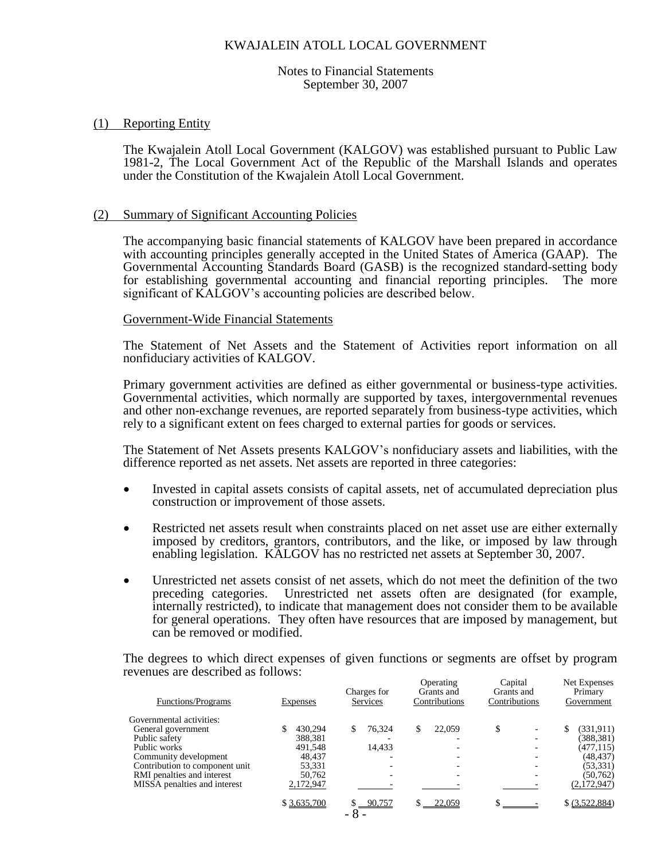Notes to Financial Statements September 30, 2007

## (1) Reporting Entity

The Kwajalein Atoll Local Government (KALGOV) was established pursuant to Public Law 1981-2, The Local Government Act of the Republic of the Marshall Islands and operates under the Constitution of the Kwajalein Atoll Local Government.

### (2) Summary of Significant Accounting Policies

The accompanying basic financial statements of KALGOV have been prepared in accordance with accounting principles generally accepted in the United States of America (GAAP). The Governmental Accounting Standards Board (GASB) is the recognized standard-setting body for establishing governmental accounting and financial reporting principles. The more significant of KALGOV's accounting policies are described below.

## Government-Wide Financial Statements

The Statement of Net Assets and the Statement of Activities report information on all nonfiduciary activities of KALGOV.

Primary government activities are defined as either governmental or business-type activities. Governmental activities, which normally are supported by taxes, intergovernmental revenues and other non-exchange revenues, are reported separately from business-type activities, which rely to a significant extent on fees charged to external parties for goods or services.

The Statement of Net Assets presents KALGOV's nonfiduciary assets and liabilities, with the difference reported as net assets. Net assets are reported in three categories:

- Invested in capital assets consists of capital assets, net of accumulated depreciation plus construction or improvement of those assets.
- Restricted net assets result when constraints placed on net asset use are either externally imposed by creditors, grantors, contributors, and the like, or imposed by law through enabling legislation. KALGOV has no restricted net assets at September 30, 2007.
- Unrestricted net assets consist of net assets, which do not meet the definition of the two preceding categories. Unrestricted net assets often are designated (for example, internally restricted), to indicate that management does not consider them to be available for general operations. They often have resources that are imposed by management, but can be removed or modified.

The degrees to which direct expenses of given functions or segments are offset by program revenues are described as follows:

| <b>Functions/Programs</b>      | <b>Expenses</b> | Charges for<br>Services | Operating<br>Grants and<br>Contributions | Capital<br>Grants and<br>Contributions | Net Expenses<br>Primary<br>Government |
|--------------------------------|-----------------|-------------------------|------------------------------------------|----------------------------------------|---------------------------------------|
| Governmental activities:       |                 |                         |                                          |                                        |                                       |
| General government             | 430.294         | 76.324                  | 22,059<br>\$                             | \$                                     | (331, 911)                            |
| Public safety                  | 388,381         |                         |                                          |                                        | (388, 381)                            |
| Public works                   | 491,548         | 14,433                  |                                          |                                        | (477, 115)                            |
| Community development          | 48.437          | -                       |                                          |                                        | (48, 437)                             |
| Contribution to component unit | 53,331          |                         |                                          |                                        | (53, 331)                             |
| RMI penalties and interest     | 50.762          | -                       |                                          |                                        | (50, 762)                             |
| MISSA penalties and interest   | 2,172,947       |                         |                                          |                                        | (2,172,947)                           |
|                                | \$3,635,700     | 90,757<br>- 8           | 22,059                                   |                                        | \$ (3,522,884)                        |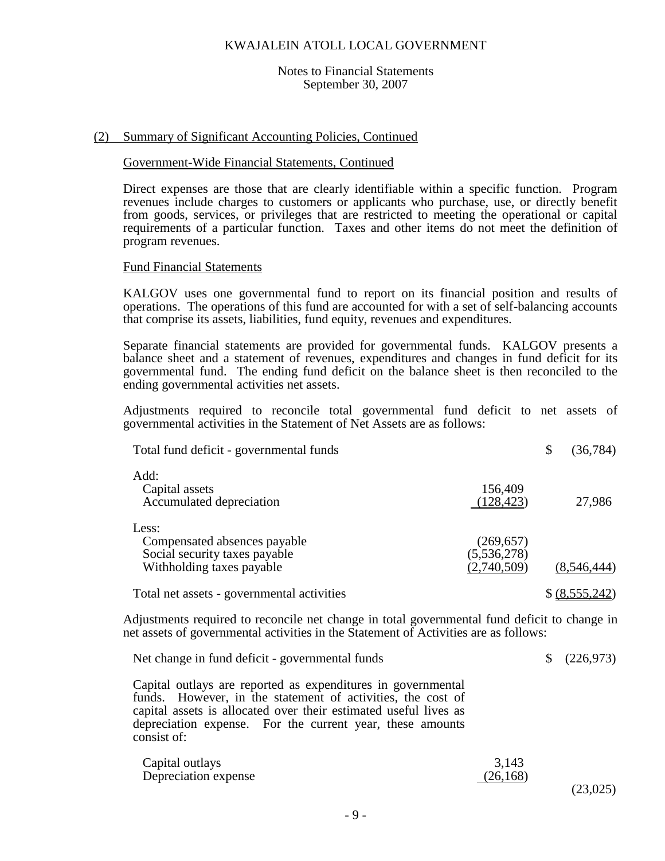#### Notes to Financial Statements September 30, 2007

## (2) Summary of Significant Accounting Policies, Continued

## Government-Wide Financial Statements, Continued

Direct expenses are those that are clearly identifiable within a specific function. Program revenues include charges to customers or applicants who purchase, use, or directly benefit from goods, services, or privileges that are restricted to meeting the operational or capital requirements of a particular function. Taxes and other items do not meet the definition of program revenues.

#### Fund Financial Statements

KALGOV uses one governmental fund to report on its financial position and results of operations. The operations of this fund are accounted for with a set of self-balancing accounts that comprise its assets, liabilities, fund equity, revenues and expenditures.

Separate financial statements are provided for governmental funds. KALGOV presents a balance sheet and a statement of revenues, expenditures and changes in fund deficit for its governmental fund. The ending fund deficit on the balance sheet is then reconciled to the ending governmental activities net assets.

Adjustments required to reconcile total governmental fund deficit to net assets of governmental activities in the Statement of Net Assets are as follows:

| Total fund deficit - governmental funds                                                             |                                          | \$<br>(36, 784) |
|-----------------------------------------------------------------------------------------------------|------------------------------------------|-----------------|
| Add:<br>Capital assets<br>Accumulated depreciation                                                  | 156,409<br>(128, 423)                    | 27,986          |
| Less:<br>Compensated absences payable<br>Social security taxes payable<br>Withholding taxes payable | (269, 657)<br>(5,536,278)<br>(2,740,509) | (8,546,444)     |
| Total net assets - governmental activities                                                          |                                          | \$ (8,555,242)  |

Adjustments required to reconcile net change in total governmental fund deficit to change in net assets of governmental activities in the Statement of Activities are as follows:

| Net change in fund deficit - governmental funds | $\frac{1}{2}(226,973)$ |
|-------------------------------------------------|------------------------|
|-------------------------------------------------|------------------------|

Capital outlays are reported as expenditures in governmental funds. However, in the statement of activities, the cost of capital assets is allocated over their estimated useful lives as depreciation expense. For the current year, these amounts consist of:

| Capital outlays      | 3,143     |
|----------------------|-----------|
| Depreciation expense | (26, 168) |
|                      | (23,025)  |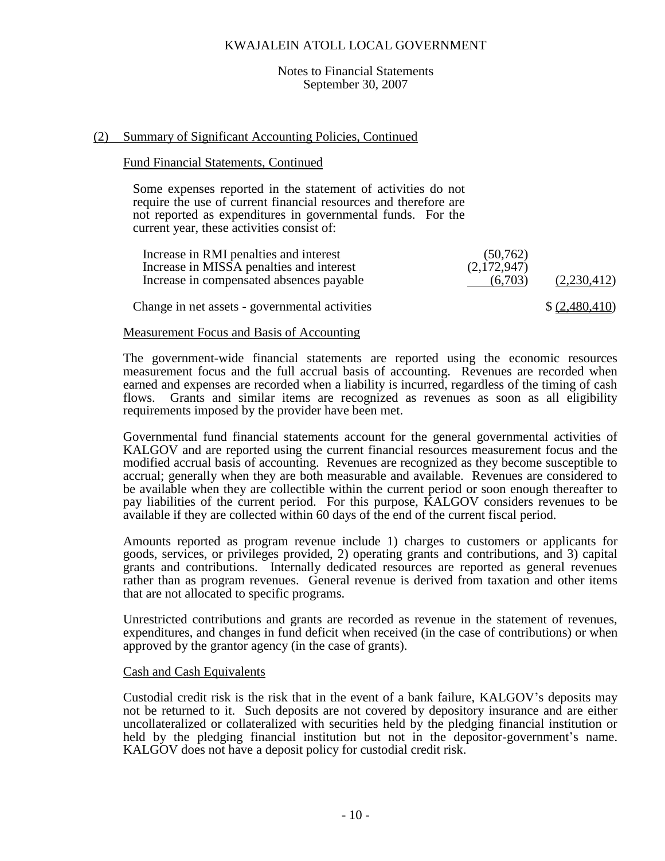#### Notes to Financial Statements September 30, 2007

## (2) Summary of Significant Accounting Policies, Continued

#### Fund Financial Statements, Continued

Some expenses reported in the statement of activities do not require the use of current financial resources and therefore are not reported as expenditures in governmental funds. For the current year, these activities consist of:

| Increase in RMI penalties and interest<br>Increase in MISSA penalties and interest | (50, 762)<br>(2,172,947) |                |
|------------------------------------------------------------------------------------|--------------------------|----------------|
| Increase in compensated absences payable                                           | (6.703)                  | (2,230,412)    |
| Change in net assets - governmental activities                                     |                          | \$ (2,480,410) |

## Measurement Focus and Basis of Accounting

The government-wide financial statements are reported using the economic resources measurement focus and the full accrual basis of accounting. Revenues are recorded when earned and expenses are recorded when a liability is incurred, regardless of the timing of cash flows. Grants and similar items are recognized as revenues as soon as all eligibility requirements imposed by the provider have been met.

Governmental fund financial statements account for the general governmental activities of KALGOV and are reported using the current financial resources measurement focus and the modified accrual basis of accounting. Revenues are recognized as they become susceptible to accrual; generally when they are both measurable and available. Revenues are considered to be available when they are collectible within the current period or soon enough thereafter to pay liabilities of the current period. For this purpose, KALGOV considers revenues to be available if they are collected within 60 days of the end of the current fiscal period.

Amounts reported as program revenue include 1) charges to customers or applicants for goods, services, or privileges provided, 2) operating grants and contributions, and 3) capital grants and contributions. Internally dedicated resources are reported as general revenues rather than as program revenues. General revenue is derived from taxation and other items that are not allocated to specific programs.

Unrestricted contributions and grants are recorded as revenue in the statement of revenues, expenditures, and changes in fund deficit when received (in the case of contributions) or when approved by the grantor agency (in the case of grants).

#### Cash and Cash Equivalents

Custodial credit risk is the risk that in the event of a bank failure, KALGOV's deposits may not be returned to it. Such deposits are not covered by depository insurance and are either uncollateralized or collateralized with securities held by the pledging financial institution or held by the pledging financial institution but not in the depositor-government's name. KALGOV does not have a deposit policy for custodial credit risk.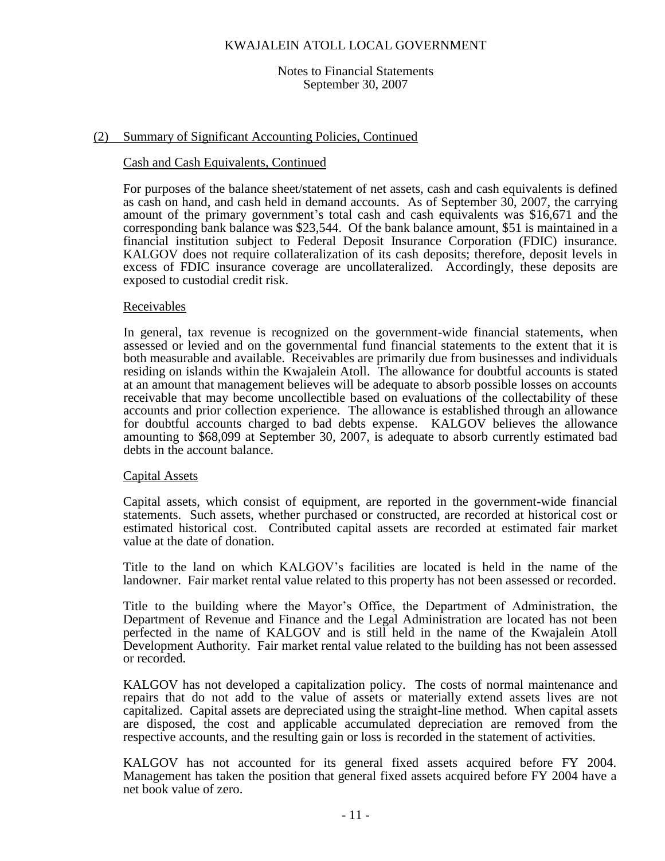#### Notes to Financial Statements September 30, 2007

## (2) Summary of Significant Accounting Policies, Continued

## Cash and Cash Equivalents, Continued

For purposes of the balance sheet/statement of net assets, cash and cash equivalents is defined as cash on hand, and cash held in demand accounts. As of September 30, 2007, the carrying amount of the primary government's total cash and cash equivalents was \$16,671 and the corresponding bank balance was \$23,544. Of the bank balance amount, \$51 is maintained in a financial institution subject to Federal Deposit Insurance Corporation (FDIC) insurance. KALGOV does not require collateralization of its cash deposits; therefore, deposit levels in excess of FDIC insurance coverage are uncollateralized. Accordingly, these deposits are exposed to custodial credit risk.

## Receivables

In general, tax revenue is recognized on the government-wide financial statements, when assessed or levied and on the governmental fund financial statements to the extent that it is both measurable and available. Receivables are primarily due from businesses and individuals residing on islands within the Kwajalein Atoll. The allowance for doubtful accounts is stated at an amount that management believes will be adequate to absorb possible losses on accounts receivable that may become uncollectible based on evaluations of the collectability of these accounts and prior collection experience. The allowance is established through an allowance for doubtful accounts charged to bad debts expense. KALGOV believes the allowance amounting to \$68,099 at September 30, 2007, is adequate to absorb currently estimated bad debts in the account balance.

## Capital Assets

Capital assets, which consist of equipment, are reported in the government-wide financial statements. Such assets, whether purchased or constructed, are recorded at historical cost or estimated historical cost. Contributed capital assets are recorded at estimated fair market value at the date of donation.

Title to the land on which KALGOV's facilities are located is held in the name of the landowner. Fair market rental value related to this property has not been assessed or recorded.

Title to the building where the Mayor's Office, the Department of Administration, the Department of Revenue and Finance and the Legal Administration are located has not been perfected in the name of KALGOV and is still held in the name of the Kwajalein Atoll Development Authority. Fair market rental value related to the building has not been assessed or recorded.

KALGOV has not developed a capitalization policy. The costs of normal maintenance and repairs that do not add to the value of assets or materially extend assets lives are not capitalized. Capital assets are depreciated using the straight-line method. When capital assets are disposed, the cost and applicable accumulated depreciation are removed from the respective accounts, and the resulting gain or loss is recorded in the statement of activities.

KALGOV has not accounted for its general fixed assets acquired before FY 2004. Management has taken the position that general fixed assets acquired before FY 2004 have a net book value of zero.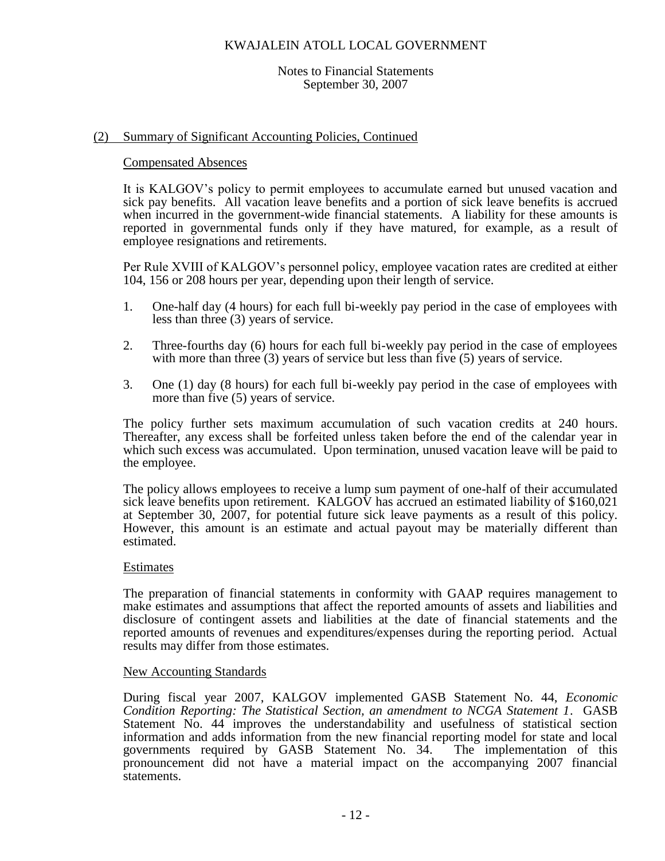## Notes to Financial Statements September 30, 2007

## (2) Summary of Significant Accounting Policies, Continued

## Compensated Absences

It is KALGOV's policy to permit employees to accumulate earned but unused vacation and sick pay benefits. All vacation leave benefits and a portion of sick leave benefits is accrued when incurred in the government-wide financial statements. A liability for these amounts is reported in governmental funds only if they have matured, for example, as a result of employee resignations and retirements.

Per Rule XVIII of KALGOV's personnel policy, employee vacation rates are credited at either 104, 156 or 208 hours per year, depending upon their length of service.

- 1. One-half day (4 hours) for each full bi-weekly pay period in the case of employees with less than three (3) years of service.
- 2. Three-fourths day (6) hours for each full bi-weekly pay period in the case of employees with more than three (3) years of service but less than five (5) years of service.
- 3. One (1) day (8 hours) for each full bi-weekly pay period in the case of employees with more than five (5) years of service.

The policy further sets maximum accumulation of such vacation credits at 240 hours. Thereafter, any excess shall be forfeited unless taken before the end of the calendar year in which such excess was accumulated. Upon termination, unused vacation leave will be paid to the employee.

The policy allows employees to receive a lump sum payment of one-half of their accumulated sick leave benefits upon retirement. KALGOV has accrued an estimated liability of  $$160,021$ at September 30, 2007, for potential future sick leave payments as a result of this policy. However, this amount is an estimate and actual payout may be materially different than estimated.

## **Estimates**

The preparation of financial statements in conformity with GAAP requires management to make estimates and assumptions that affect the reported amounts of assets and liabilities and disclosure of contingent assets and liabilities at the date of financial statements and the reported amounts of revenues and expenditures/expenses during the reporting period. Actual results may differ from those estimates.

## New Accounting Standards

During fiscal year 2007, KALGOV implemented GASB Statement No. 44, *Economic Condition Reporting: The Statistical Section, an amendment to NCGA Statement 1*. GASB Statement No. 44 improves the understandability and usefulness of statistical section information and adds information from the new financial reporting model for state and local governments required by GASB Statement No. 34. The implementation of this pronouncement did not have a material impact on the accompanying 2007 financial statements.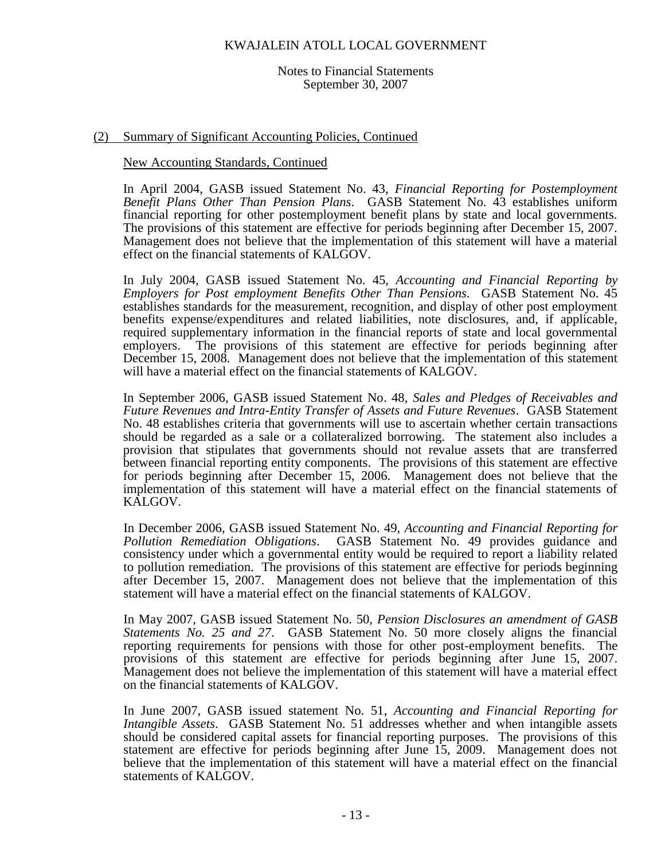#### Notes to Financial Statements September 30, 2007

## (2) Summary of Significant Accounting Policies, Continued

## New Accounting Standards, Continued

In April 2004, GASB issued Statement No. 43, *Financial Reporting for Postemployment Benefit Plans Other Than Pension Plans*. GASB Statement No. 43 establishes uniform financial reporting for other postemployment benefit plans by state and local governments. The provisions of this statement are effective for periods beginning after December 15, 2007. Management does not believe that the implementation of this statement will have a material effect on the financial statements of KALGOV.

In July 2004, GASB issued Statement No. 45, *Accounting and Financial Reporting by Employers for Post employment Benefits Other Than Pensions*. GASB Statement No. 45 establishes standards for the measurement, recognition, and display of other post employment benefits expense/expenditures and related liabilities, note disclosures, and, if applicable, required supplementary information in the financial reports of state and local governmental employers. The provisions of this statement are effective for periods beginning after December 15, 2008. Management does not believe that the implementation of this statement will have a material effect on the financial statements of KALGOV.

In September 2006, GASB issued Statement No. 48, *Sales and Pledges of Receivables and Future Revenues and Intra-Entity Transfer of Assets and Future Revenues*. GASB Statement No. 48 establishes criteria that governments will use to ascertain whether certain transactions should be regarded as a sale or a collateralized borrowing. The statement also includes a provision that stipulates that governments should not revalue assets that are transferred between financial reporting entity components. The provisions of this statement are effective for periods beginning after December 15, 2006. Management does not believe that the implementation of this statement will have a material effect on the financial statements of KALGOV.

In December 2006, GASB issued Statement No. 49, *Accounting and Financial Reporting for Pollution Remediation Obligations*. GASB Statement No. 49 provides guidance and consistency under which a governmental entity would be required to report a liability related to pollution remediation. The provisions of this statement are effective for periods beginning after December 15, 2007. Management does not believe that the implementation of this statement will have a material effect on the financial statements of KALGOV.

In May 2007, GASB issued Statement No. 50, *Pension Disclosures an amendment of GASB Statements No. 25 and 27*. GASB Statement No. 50 more closely aligns the financial reporting requirements for pensions with those for other post-employment benefits. The provisions of this statement are effective for periods beginning after June 15, 2007. Management does not believe the implementation of this statement will have a material effect on the financial statements of KALGOV.

In June 2007, GASB issued statement No. 51, *Accounting and Financial Reporting for Intangible Assets*. GASB Statement No. 51 addresses whether and when intangible assets should be considered capital assets for financial reporting purposes. The provisions of this statement are effective for periods beginning after June 15, 2009. Management does not believe that the implementation of this statement will have a material effect on the financial statements of KALGOV.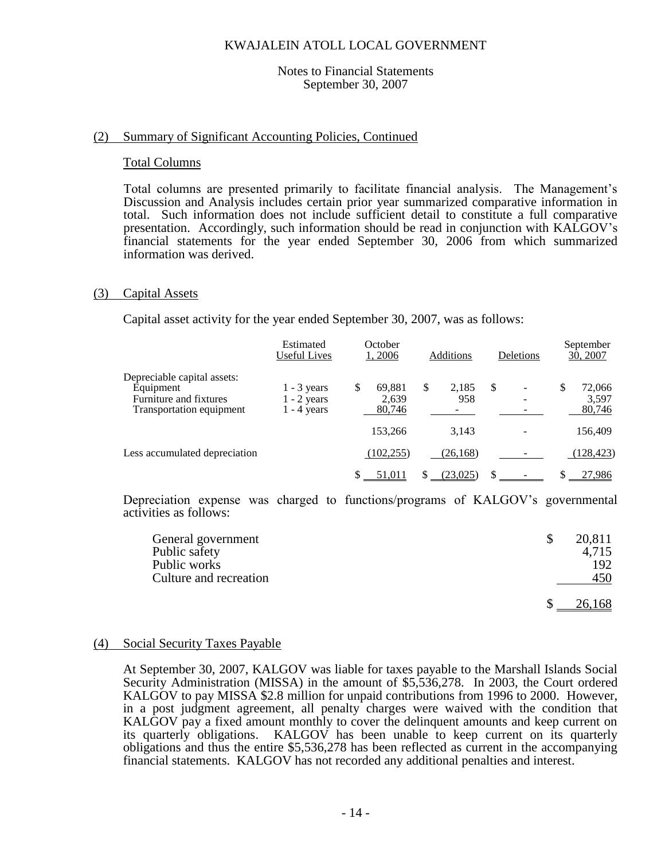### Notes to Financial Statements September 30, 2007

## (2) Summary of Significant Accounting Policies, Continued

#### Total Columns

Total columns are presented primarily to facilitate financial analysis. The Management's Discussion and Analysis includes certain prior year summarized comparative information in total. Such information does not include sufficient detail to constitute a full comparative presentation. Accordingly, such information should be read in conjunction with KALGOV's financial statements for the year ended September 30, 2006 from which summarized information was derived.

## (3) Capital Assets

Capital asset activity for the year ended September 30, 2007, was as follows:

|                                                                                                | Estimated<br>Useful Lives                       | October<br>1, 2006 |                           | Additions          |     | Deletions | September<br>30, 2007           |
|------------------------------------------------------------------------------------------------|-------------------------------------------------|--------------------|---------------------------|--------------------|-----|-----------|---------------------------------|
| Depreciable capital assets:<br>Equipment<br>Furniture and fixtures<br>Transportation equipment | $1 - 3$ years<br>$1 - 2$ years<br>$1 - 4$ years | \$                 | 69,881<br>2,639<br>80,746 | \$<br>2,185<br>958 | \$  |           | \$<br>72,066<br>3,597<br>80,746 |
|                                                                                                |                                                 |                    | 153,266                   | 3.143              |     |           | 156,409                         |
| Less accumulated depreciation                                                                  |                                                 |                    | (102, 255)                | (26, 168)          |     |           | (128, 423)                      |
|                                                                                                |                                                 |                    | 51.011                    | (23.025)           | \$. |           | 27,986                          |

Depreciation expense was charged to functions/programs of KALGOV's governmental activities as follows:

| General government     | 20,811 |
|------------------------|--------|
| Public safety          | 4,715  |
| Public works           | 192    |
| Culture and recreation | 450    |
|                        | 26,168 |

#### (4) Social Security Taxes Payable

At September 30, 2007, KALGOV was liable for taxes payable to the Marshall Islands Social Security Administration (MISSA) in the amount of \$5,536,278. In 2003, the Court ordered KALGOV to pay MISSA \$2.8 million for unpaid contributions from 1996 to 2000. However, in a post judgment agreement, all penalty charges were waived with the condition that KALGOV pay a fixed amount monthly to cover the delinquent amounts and keep current on its quarterly obligations. KALGOV has been unable to keep current on its quarterly obligations and thus the entire \$5,536,278 has been reflected as current in the accompanying financial statements. KALGOV has not recorded any additional penalties and interest.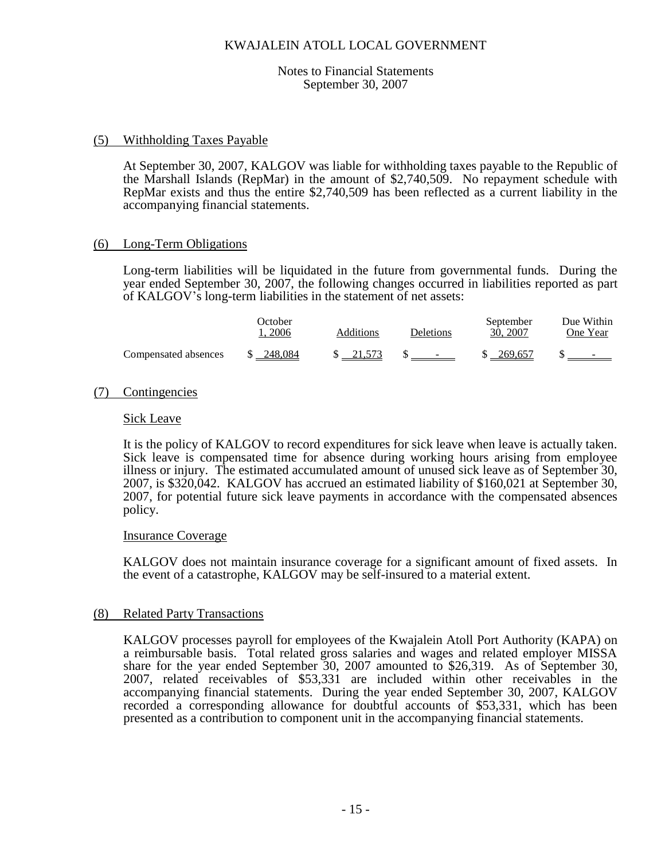## Notes to Financial Statements September 30, 2007

## (5) Withholding Taxes Payable

At September 30, 2007, KALGOV was liable for withholding taxes payable to the Republic of the Marshall Islands (RepMar) in the amount of \$2,740,509. No repayment schedule with RepMar exists and thus the entire \$2,740,509 has been reflected as a current liability in the accompanying financial statements.

## (6) Long-Term Obligations

Long-term liabilities will be liquidated in the future from governmental funds. During the year ended September 30, 2007, the following changes occurred in liabilities reported as part of KALGOV's long-term liabilities in the statement of net assets:

|                      | October.<br>. 2006 | Additions | Deletions | September<br>30, 2007 | Due Within<br>One Year |
|----------------------|--------------------|-----------|-----------|-----------------------|------------------------|
| Compensated absences | \$ 248,084         | \$ 21.573 | $S =$     | \$ 269,657            |                        |

## (7) Contingencies

## Sick Leave

It is the policy of KALGOV to record expenditures for sick leave when leave is actually taken. Sick leave is compensated time for absence during working hours arising from employee illness or injury. The estimated accumulated amount of unused sick leave as of September 30, 2007, is \$320,042. KALGOV has accrued an estimated liability of \$160,021 at September 30, 2007, for potential future sick leave payments in accordance with the compensated absences policy.

## Insurance Coverage

KALGOV does not maintain insurance coverage for a significant amount of fixed assets. In the event of a catastrophe, KALGOV may be self-insured to a material extent.

## (8) Related Party Transactions

KALGOV processes payroll for employees of the Kwajalein Atoll Port Authority (KAPA) on a reimbursable basis. Total related gross salaries and wages and related employer MISSA share for the year ended September 30, 2007 amounted to \$26,319. As of September 30, 2007, related receivables of \$53,331 are included within other receivables in the accompanying financial statements. During the year ended September 30, 2007, KALGOV recorded a corresponding allowance for doubtful accounts of \$53,331, which has been presented as a contribution to component unit in the accompanying financial statements.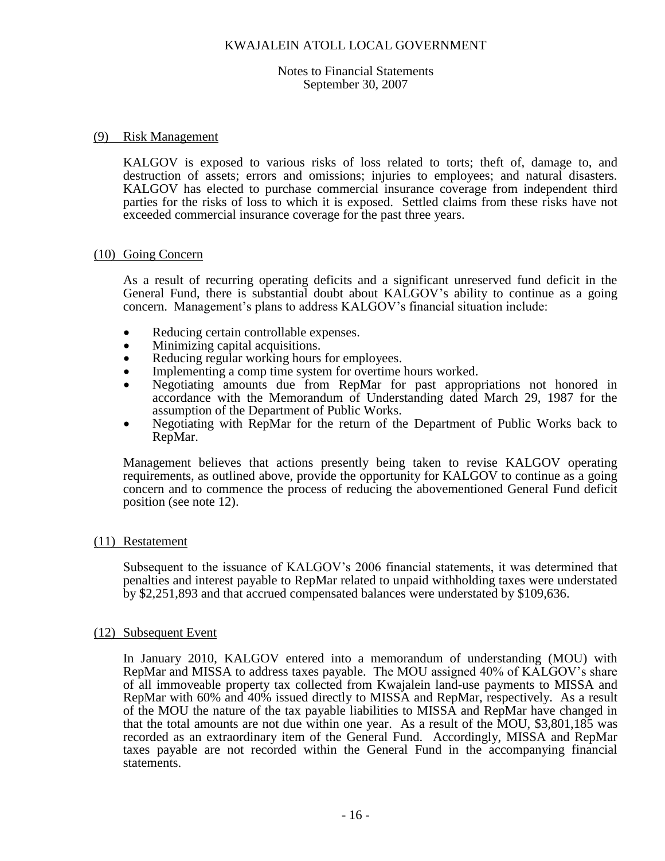#### Notes to Financial Statements September 30, 2007

## (9) Risk Management

KALGOV is exposed to various risks of loss related to torts; theft of, damage to, and destruction of assets; errors and omissions; injuries to employees; and natural disasters. KALGOV has elected to purchase commercial insurance coverage from independent third parties for the risks of loss to which it is exposed. Settled claims from these risks have not exceeded commercial insurance coverage for the past three years.

## (10) Going Concern

As a result of recurring operating deficits and a significant unreserved fund deficit in the General Fund, there is substantial doubt about KALGOV's ability to continue as a going concern. Management's plans to address KALGOV's financial situation include:

- Reducing certain controllable expenses.
- Minimizing capital acquisitions.
- Reducing regular working hours for employees.
- Implementing a comp time system for overtime hours worked.
- Negotiating amounts due from RepMar for past appropriations not honored in accordance with the Memorandum of Understanding dated March 29, 1987 for the assumption of the Department of Public Works.
- Negotiating with RepMar for the return of the Department of Public Works back to RepMar.

Management believes that actions presently being taken to revise KALGOV operating requirements, as outlined above, provide the opportunity for KALGOV to continue as a going concern and to commence the process of reducing the abovementioned General Fund deficit position (see note 12).

## (11) Restatement

Subsequent to the issuance of KALGOV's 2006 financial statements, it was determined that penalties and interest payable to RepMar related to unpaid withholding taxes were understated by \$2,251,893 and that accrued compensated balances were understated by \$109,636.

## (12) Subsequent Event

In January 2010, KALGOV entered into a memorandum of understanding (MOU) with RepMar and MISSA to address taxes payable. The MOU assigned 40% of KALGOV's share of all immoveable property tax collected from Kwajalein land-use payments to MISSA and RepMar with 60% and 40% issued directly to MISSA and RepMar, respectively. As a result of the MOU the nature of the tax payable liabilities to MISSA and RepMar have changed in that the total amounts are not due within one year. As a result of the MOU, \$3,801,185 was recorded as an extraordinary item of the General Fund. Accordingly, MISSA and RepMar taxes payable are not recorded within the General Fund in the accompanying financial statements.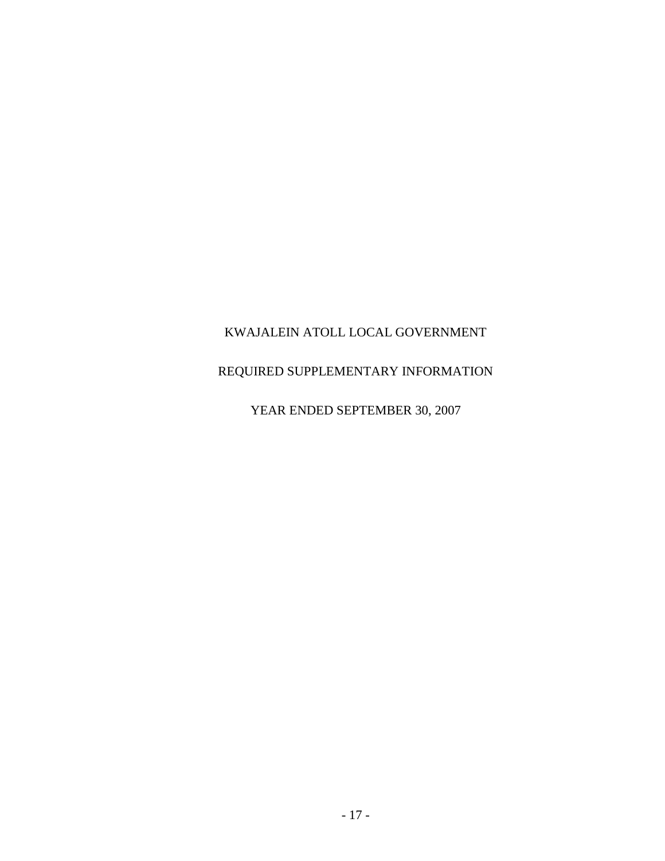## REQUIRED SUPPLEMENTARY INFORMATION

## YEAR ENDED SEPTEMBER 30, 2007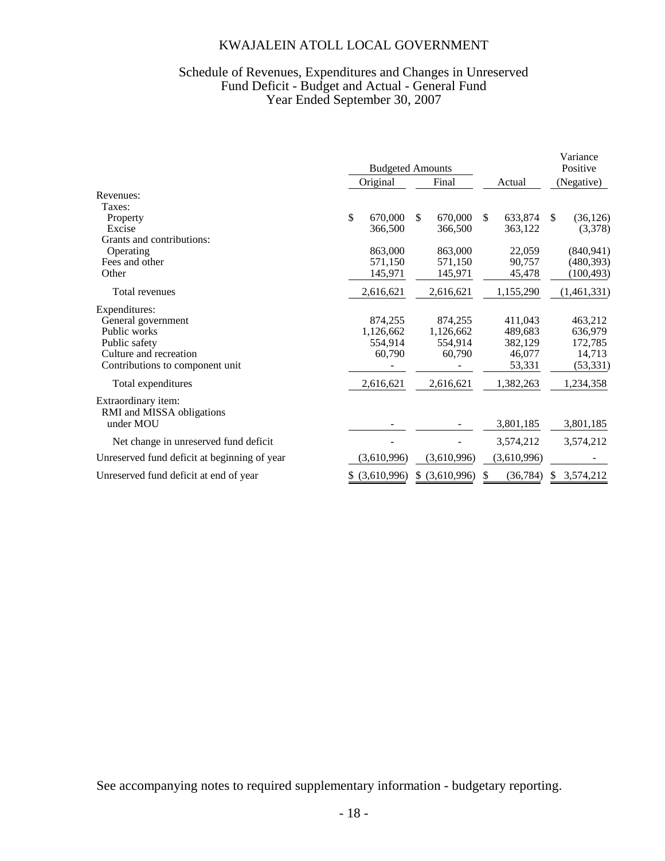## Schedule of Revenues, Expenditures and Changes in Unreserved Fund Deficit - Budget and Actual - General Fund Year Ended September 30, 2007

|                                                  | <b>Budgeted Amounts</b> |             |       |                |               |             |            | Variance<br>Positive |
|--------------------------------------------------|-------------------------|-------------|-------|----------------|---------------|-------------|------------|----------------------|
|                                                  |                         | Original    | Final |                | Actual        |             | (Negative) |                      |
| Revenues:                                        |                         |             |       |                |               |             |            |                      |
| Taxes:                                           |                         |             |       |                |               |             |            |                      |
| Property                                         | \$                      | 670,000     | \$    | 670,000        | <sup>\$</sup> | 633,874     | \$         | (36, 126)            |
| Excise                                           |                         | 366,500     |       | 366,500        |               | 363,122     |            | (3,378)              |
| Grants and contributions:                        |                         |             |       |                |               |             |            |                      |
| Operating                                        |                         | 863,000     |       | 863,000        |               | 22,059      |            | (840, 941)           |
| Fees and other                                   |                         | 571,150     |       | 571,150        |               | 90,757      |            | (480, 393)           |
| Other                                            |                         | 145,971     |       | 145,971        |               | 45,478      |            | (100, 493)           |
| Total revenues                                   |                         | 2,616,621   |       | 2,616,621      |               | 1,155,290   |            | (1,461,331)          |
| Expenditures:                                    |                         |             |       |                |               |             |            |                      |
| General government                               |                         | 874,255     |       | 874,255        |               | 411,043     |            | 463,212              |
| Public works                                     |                         | 1,126,662   |       | 1,126,662      |               | 489,683     |            | 636,979              |
| Public safety                                    |                         | 554,914     |       | 554,914        |               | 382,129     |            | 172,785              |
| Culture and recreation                           |                         | 60,790      |       | 60,790         |               | 46,077      |            | 14,713               |
| Contributions to component unit                  |                         |             |       |                |               | 53,331      |            | (53, 331)            |
| Total expenditures                               |                         | 2,616,621   |       | 2,616,621      |               | 1,382,263   |            | 1,234,358            |
| Extraordinary item:<br>RMI and MISSA obligations |                         |             |       |                |               |             |            |                      |
| under MOU                                        |                         |             |       |                |               | 3,801,185   |            | 3,801,185            |
| Net change in unreserved fund deficit            |                         |             |       |                |               | 3,574,212   |            | 3,574,212            |
| Unreserved fund deficit at beginning of year     |                         | (3,610,996) |       | (3,610,996)    |               | (3,610,996) |            |                      |
| Unreserved fund deficit at end of year           | S.                      | (3,610,996) |       | \$ (3,610,996) |               | (36, 784)   | S          | 3,574,212            |

See accompanying notes to required supplementary information - budgetary reporting.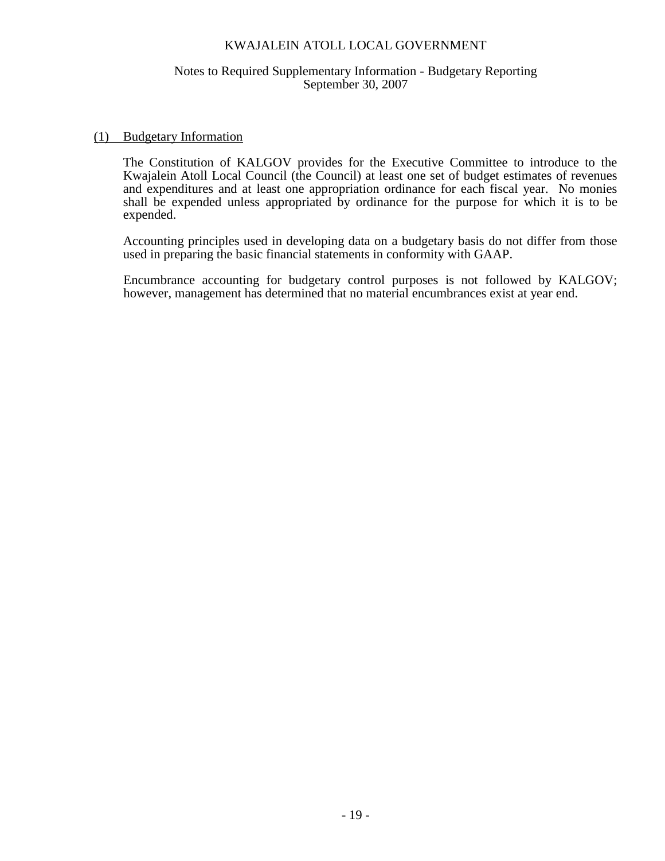## Notes to Required Supplementary Information - Budgetary Reporting September 30, 2007

## (1) Budgetary Information

The Constitution of KALGOV provides for the Executive Committee to introduce to the Kwajalein Atoll Local Council (the Council) at least one set of budget estimates of revenues and expenditures and at least one appropriation ordinance for each fiscal year. No monies shall be expended unless appropriated by ordinance for the purpose for which it is to be expended.

Accounting principles used in developing data on a budgetary basis do not differ from those used in preparing the basic financial statements in conformity with GAAP.

Encumbrance accounting for budgetary control purposes is not followed by KALGOV; however, management has determined that no material encumbrances exist at year end.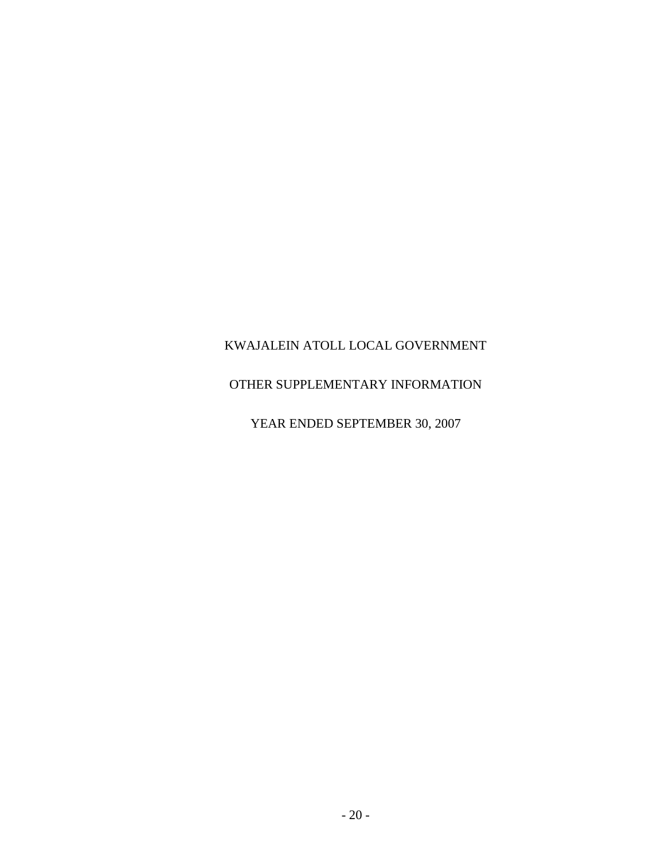## OTHER SUPPLEMENTARY INFORMATION

YEAR ENDED SEPTEMBER 30, 2007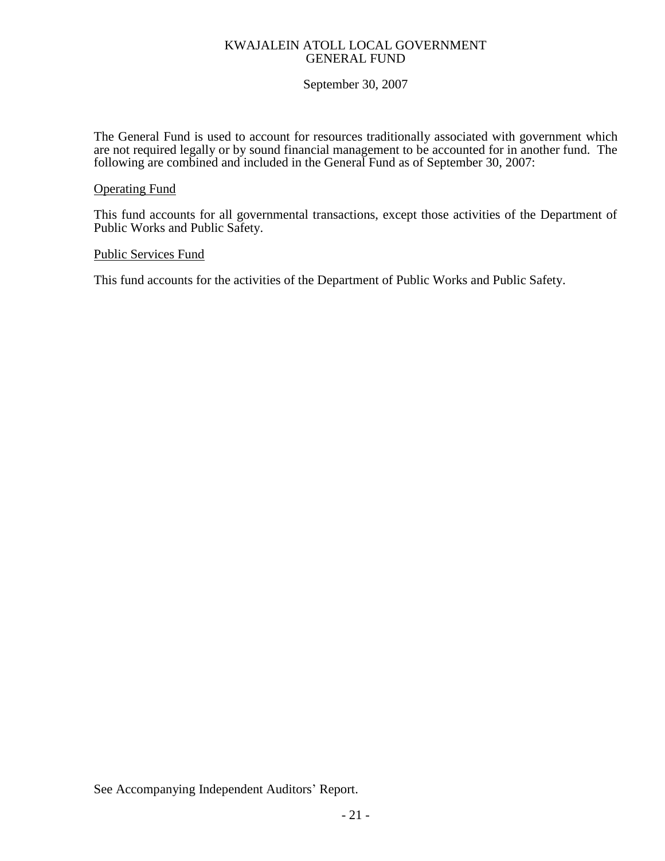## KWAJALEIN ATOLL LOCAL GOVERNMENT GENERAL FUND

## September 30, 2007

The General Fund is used to account for resources traditionally associated with government which are not required legally or by sound financial management to be accounted for in another fund. The following are combined and included in the General Fund as of September 30, 2007:

## Operating Fund

This fund accounts for all governmental transactions, except those activities of the Department of Public Works and Public Safety.

## Public Services Fund

This fund accounts for the activities of the Department of Public Works and Public Safety.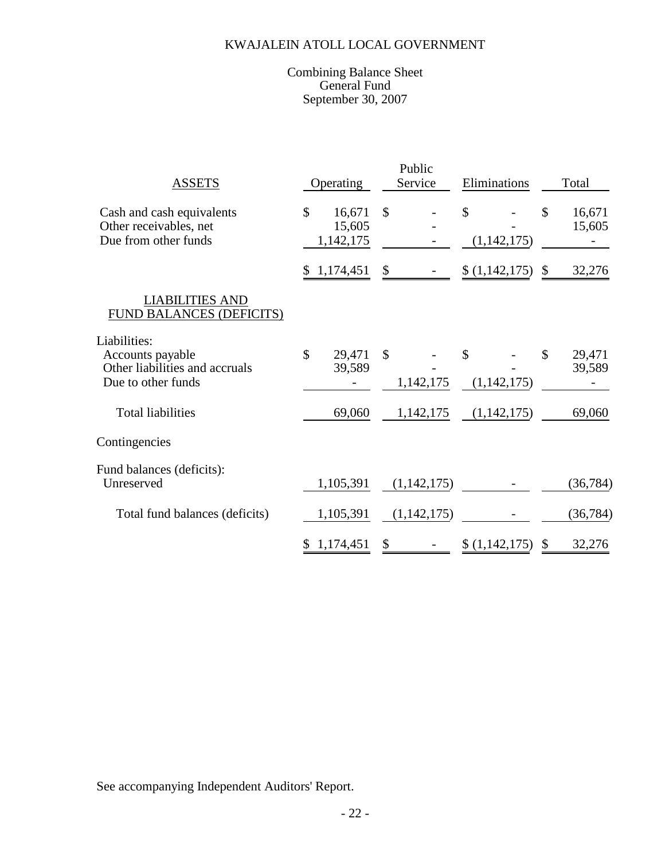## Combining Balance Sheet General Fund September 30, 2007

| <b>ASSETS</b>                                                                            | Operating                           | Public<br>Service          | Eliminations      | Total                   |  |  |
|------------------------------------------------------------------------------------------|-------------------------------------|----------------------------|-------------------|-------------------------|--|--|
| Cash and cash equivalents<br>Other receivables, net<br>Due from other funds              | \$<br>16,671<br>15,605<br>1,142,175 | $\mathcal{S}$              | \$<br>(1,142,175) | \$<br>16,671<br>15,605  |  |  |
|                                                                                          | 1,174,451<br>\$                     | \$                         | (1,142,175)       | $\mathcal{S}$<br>32,276 |  |  |
| <b>LIABILITIES AND</b><br>FUND BALANCES (DEFICITS)                                       |                                     |                            |                   |                         |  |  |
| Liabilities:<br>Accounts payable<br>Other liabilities and accruals<br>Due to other funds | \$<br>29,471<br>39,589              | $\mathcal{S}$<br>1,142,175 | \$<br>(1,142,175) | \$<br>29,471<br>39,589  |  |  |
| <b>Total liabilities</b>                                                                 | 69,060                              | 1,142,175                  | (1,142,175)       | 69,060                  |  |  |
| Contingencies                                                                            |                                     |                            |                   |                         |  |  |
| Fund balances (deficits):<br>Unreserved                                                  | 1,105,391                           | (1,142,175)                |                   | (36, 784)               |  |  |
| Total fund balances (deficits)                                                           | 1,105,391                           | (1,142,175)                |                   | (36, 784)               |  |  |
|                                                                                          | 1,174,451<br>\$                     | \$                         | (1,142,175)       | 32,276<br>\$            |  |  |

See accompanying Independent Auditors' Report.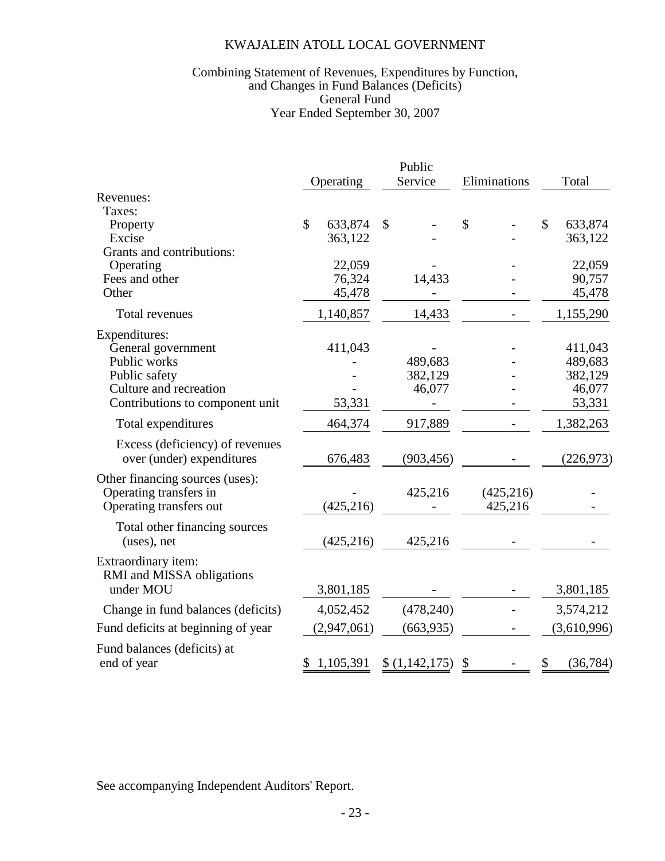## Year Ended September 30, 2007 Combining Statement of Revenues, Expenditures by Function, and Changes in Fund Balances (Deficits) General Fund

|                                                              | Public                  |             |               |                  |              |            |              |             |
|--------------------------------------------------------------|-------------------------|-------------|---------------|------------------|--------------|------------|--------------|-------------|
|                                                              |                         | Operating   |               | Service          | Eliminations |            | Total        |             |
| Revenues:<br>Taxes:                                          |                         |             |               |                  |              |            |              |             |
| Property                                                     | $\overline{\mathbb{S}}$ | 633,874     | $\mathcal{S}$ |                  | $\mathbb{S}$ |            | $\mathbb{S}$ | 633,874     |
| Excise                                                       |                         | 363,122     |               |                  |              |            |              | 363,122     |
| Grants and contributions:                                    |                         |             |               |                  |              |            |              |             |
| Operating                                                    |                         | 22,059      |               |                  |              |            |              | 22,059      |
| Fees and other                                               |                         | 76,324      |               | 14,433           |              |            |              | 90,757      |
| Other                                                        |                         | 45,478      |               |                  |              |            |              | 45,478      |
| Total revenues                                               |                         | 1,140,857   |               | 14,433           |              |            |              | 1,155,290   |
| Expenditures:                                                |                         |             |               |                  |              |            |              |             |
| General government                                           |                         | 411,043     |               |                  |              |            |              | 411,043     |
| Public works                                                 |                         |             |               | 489,683          |              |            |              | 489,683     |
| Public safety                                                |                         |             |               | 382,129          |              |            |              | 382,129     |
| Culture and recreation                                       |                         |             |               | 46,077           |              |            |              | 46,077      |
| Contributions to component unit                              |                         | 53,331      |               |                  |              |            |              | 53,331      |
| Total expenditures                                           |                         | 464,374     |               | 917,889          |              |            |              | 1,382,263   |
| Excess (deficiency) of revenues<br>over (under) expenditures |                         | 676,483     |               | (903, 456)       |              |            |              | (226, 973)  |
| Other financing sources (uses):                              |                         |             |               |                  |              |            |              |             |
| Operating transfers in                                       |                         |             |               | 425,216          |              | (425, 216) |              |             |
| Operating transfers out                                      |                         | (425, 216)  |               |                  |              | 425,216    |              |             |
| Total other financing sources                                |                         |             |               |                  |              |            |              |             |
| (uses), net                                                  |                         | (425, 216)  |               | 425,216          |              |            |              |             |
| Extraordinary item:<br>RMI and MISSA obligations             |                         |             |               |                  |              |            |              |             |
| under MOU                                                    |                         | 3,801,185   |               |                  |              |            |              | 3,801,185   |
| Change in fund balances (deficits)                           |                         | 4,052,452   |               | (478,240)        |              |            |              | 3,574,212   |
| Fund deficits at beginning of year                           |                         | (2,947,061) |               | (663, 935)       |              |            |              | (3,610,996) |
| Fund balances (deficits) at<br>end of year                   | \$                      | 1,105,391   |               | $(1,142,175)$ \$ |              |            | \$           | (36, 784)   |

See accompanying Independent Auditors' Report.